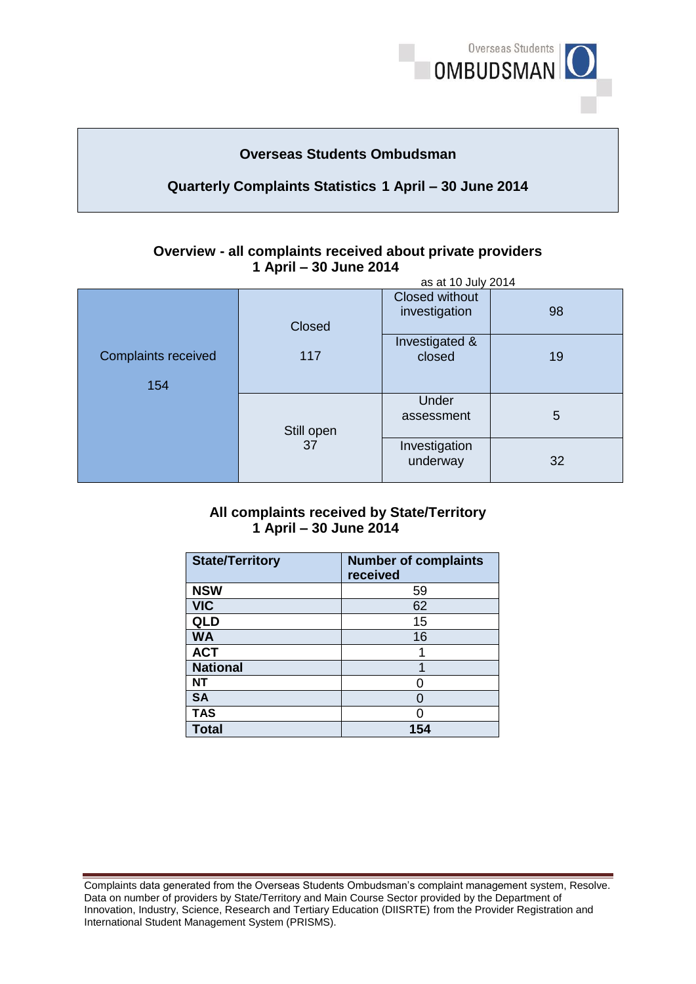

# **Overseas Students Ombudsman**

## **Quarterly Complaints Statistics 1 April – 30 June 2014**

#### **Overview - all complaints received about private providers 1 April – 30 June 2014** as at 10 July 2014

| as at 10 July 2014                |                  |                                 |    |  |
|-----------------------------------|------------------|---------------------------------|----|--|
|                                   | Closed           | Closed without<br>investigation | 98 |  |
| <b>Complaints received</b><br>154 | 117              | Investigated &<br>closed        | 19 |  |
|                                   | Still open<br>37 | Under<br>assessment             | 5  |  |
|                                   |                  | Investigation<br>underway       | 32 |  |

### **All complaints received by State/Territory 1 April – 30 June 2014**

| <b>State/Territory</b> | <b>Number of complaints</b><br>received |
|------------------------|-----------------------------------------|
| <b>NSW</b>             | 59                                      |
| <b>VIC</b>             | 62                                      |
| QLD                    | 15                                      |
| <b>WA</b>              | 16                                      |
| <b>ACT</b>             |                                         |
| <b>National</b>        |                                         |
| <b>NT</b>              |                                         |
| <b>SA</b>              | O                                       |
| <b>TAS</b>             |                                         |
| <b>Total</b>           | 154                                     |

Complaints data generated from the Overseas Students Ombudsman's complaint management system, Resolve. Data on number of providers by State/Territory and Main Course Sector provided by the Department of Innovation, Industry, Science, Research and Tertiary Education (DIISRTE) from the Provider Registration and International Student Management System (PRISMS).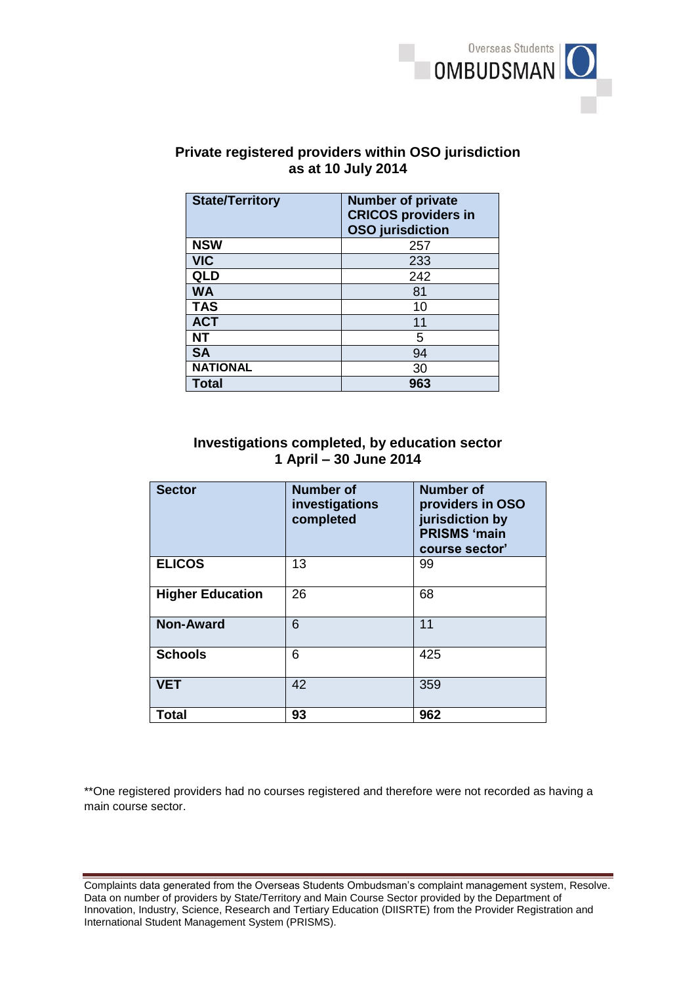

## **Private registered providers within OSO jurisdiction as at 10 July 2014**

| <b>State/Territory</b> | <b>Number of private</b><br><b>CRICOS providers in</b><br><b>OSO</b> jurisdiction |
|------------------------|-----------------------------------------------------------------------------------|
| <b>NSW</b>             | 257                                                                               |
| <b>VIC</b>             | 233                                                                               |
| QLD                    | 242                                                                               |
| <b>WA</b>              | 81                                                                                |
| <b>TAS</b>             | 10                                                                                |
| <b>ACT</b>             | 11                                                                                |
| <b>NT</b>              | 5                                                                                 |
| <b>SA</b>              | 94                                                                                |
| <b>NATIONAL</b>        | 30                                                                                |
| <b>Total</b>           | 963                                                                               |

## **Investigations completed, by education sector 1 April – 30 June 2014**

| <b>Sector</b>           | <b>Number of</b><br>investigations<br>completed | <b>Number of</b><br>providers in OSO<br>jurisdiction by<br><b>PRISMS 'main</b><br>course sector' |
|-------------------------|-------------------------------------------------|--------------------------------------------------------------------------------------------------|
| <b>ELICOS</b>           | 13                                              | 99                                                                                               |
| <b>Higher Education</b> | 26                                              | 68                                                                                               |
| <b>Non-Award</b>        | 6                                               | 11                                                                                               |
| <b>Schools</b>          | 6                                               | 425                                                                                              |
| <b>VET</b>              | 42                                              | 359                                                                                              |
| <b>Total</b>            | 93                                              | 962                                                                                              |

\*\*One registered providers had no courses registered and therefore were not recorded as having a main course sector.

Complaints data generated from the Overseas Students Ombudsman's complaint management system, Resolve. Data on number of providers by State/Territory and Main Course Sector provided by the Department of Innovation, Industry, Science, Research and Tertiary Education (DIISRTE) from the Provider Registration and International Student Management System (PRISMS).